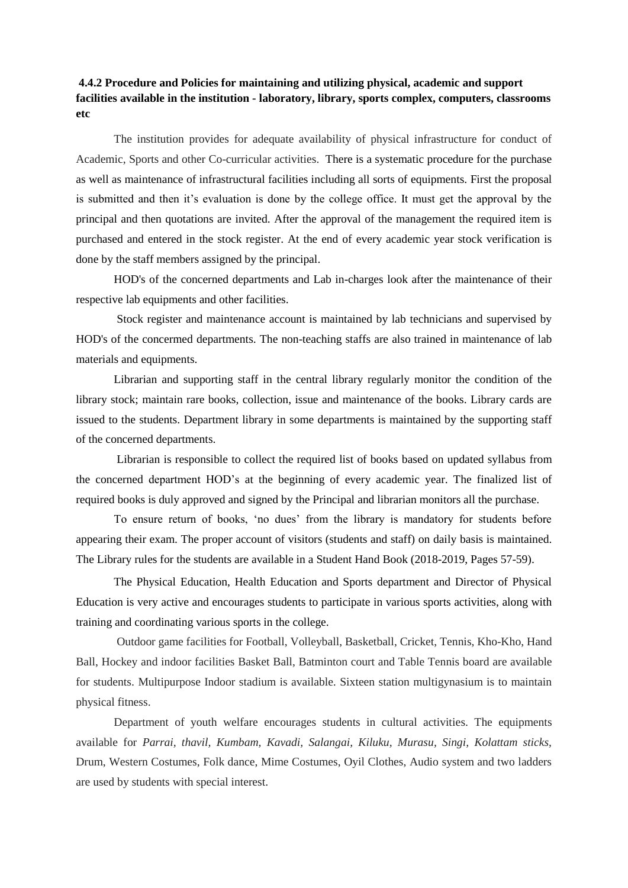## **4.4.2 Procedure and Policies for maintaining and utilizing physical, academic and support facilities available in the institution - laboratory, library, sports complex, computers, classrooms etc**

The institution provides for adequate availability of physical infrastructure for conduct of Academic, Sports and other Co-curricular activities. There is a systematic procedure for the purchase as well as maintenance of infrastructural facilities including all sorts of equipments. First the proposal is submitted and then it's evaluation is done by the college office. It must get the approval by the principal and then quotations are invited. After the approval of the management the required item is purchased and entered in the stock register. At the end of every academic year stock verification is done by the staff members assigned by the principal.

HOD's of the concerned departments and Lab in-charges look after the maintenance of their respective lab equipments and other facilities.

Stock register and maintenance account is maintained by lab technicians and supervised by HOD's of the concermed departments. The non-teaching staffs are also trained in maintenance of lab materials and equipments.

Librarian and supporting staff in the central library regularly monitor the condition of the library stock; maintain rare books, collection, issue and maintenance of the books. Library cards are issued to the students. Department library in some departments is maintained by the supporting staff of the concerned departments.

Librarian is responsible to collect the required list of books based on updated syllabus from the concerned department HOD's at the beginning of every academic year. The finalized list of required books is duly approved and signed by the Principal and librarian monitors all the purchase.

To ensure return of books, 'no dues' from the library is mandatory for students before appearing their exam. The proper account of visitors (students and staff) on daily basis is maintained. The Library rules for the students are available in a Student Hand Book (2018-2019, Pages 57-59).

The Physical Education, Health Education and Sports department and Director of Physical Education is very active and encourages students to participate in various sports activities, along with training and coordinating various sports in the college.

Outdoor game facilities for Football, Volleyball, Basketball, Cricket, Tennis, Kho-Kho, Hand Ball, Hockey and indoor facilities Basket Ball, Batminton court and Table Tennis board are available for students. Multipurpose Indoor stadium is available. Sixteen station multigynasium is to maintain physical fitness.

Department of youth welfare encourages students in cultural activities. The equipments available for *Parrai, thavil, Kumbam, Kavadi, Salangai, Kiluku, Murasu, Singi, Kolattam sticks,* Drum, Western Costumes, Folk dance, Mime Costumes, Oyil Clothes, Audio system and two ladders are used by students with special interest.